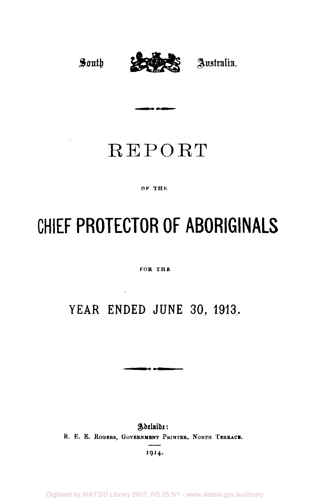## South CAUSES Australia.

### REPORT

#### **OF THE**

# **CHIEF PROTECTOR OF ABORIGINALS**

#### **FOR THE**

### **YEAR ENDED JUNE 30, 1913,**

Adeluide: R. E. E. ROGERS, GOVERNMENT PRINTER, NORTH TERRACE.

1914.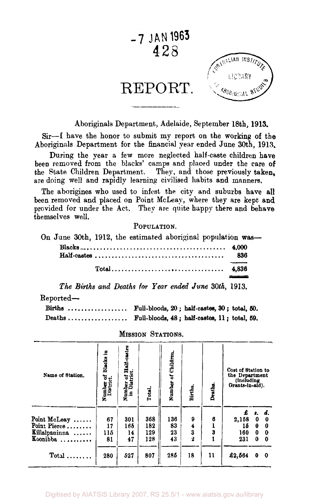

Aboriginals Department, Adelaide, September 18th, 1913.

Sir—I have the honor to submit my report on the working of the Aboriginals Department for the financial year ended June 30th, 1913.

During the year a few more neglected half-caste children have been removed from the blacks' camps and placed under the care of the State Children Department. They, and those previously taken, are doing well and rapidly learning civilised habits and manners.

The aborigines who used to infest the city and suburbs have all been removed and placed on Point McLeay, where they are kept and provided for under the Act. They are quite happy there and behave themselves well.

POPULATION.

On June 30th, 1912, the estimated aboriginal population was—

|  |  |  |  |  |  |  |  |  |  |  |  |  |  |  | 836 |  |
|--|--|--|--|--|--|--|--|--|--|--|--|--|--|--|-----|--|
|  |  |  |  |  |  |  |  |  |  |  |  |  |  |  |     |  |

*The Births and Deaths for Year ended June 30th,* 1913.

Reported—

| Births                                      | Full-bloods, 20; half-castes, 30; total, 50, |  |  |  |
|---------------------------------------------|----------------------------------------------|--|--|--|
| $Deaths \ldots \ldots \ldots \ldots \ldots$ | Full-bloods, 48; half-castes, 11; total, 59, |  |  |  |

| Name of Station.             | <b>Blacks</b> in<br>៵<br>Number of<br>District. | Number of Half-castes<br>in District. | Total. | Children<br>Number of | Births.   | Deaths. | Cost of Station to<br>the Department<br>(including).<br>Grants-in-aid). |        |          |
|------------------------------|-------------------------------------------------|---------------------------------------|--------|-----------------------|-----------|---------|-------------------------------------------------------------------------|--------|----------|
|                              |                                                 |                                       | 368    | 136                   | 9         |         |                                                                         |        | d.       |
| Point McLeay<br>Point Pierce | 67<br>17                                        | 301<br>165                            | 182    | 83                    | 4         | 6       | 2,158<br>15                                                             | 0<br>0 | 0<br>0   |
|                              |                                                 |                                       |        |                       |           | 3       |                                                                         |        |          |
| Killalpaninna                | 115                                             | 14                                    | 129    | 23                    | 3         |         | 160                                                                     | 0      | 0        |
| Koonibba<br>.                | 81                                              | 47                                    | 128    | 43                    | $\dot{2}$ |         | 231                                                                     | 0      | 0        |
| $Total$                      | 280                                             | 527                                   | 807    | 285                   | 18        | 11      | £2,564                                                                  | 0      | $\bf{0}$ |

MISSION STATIONS.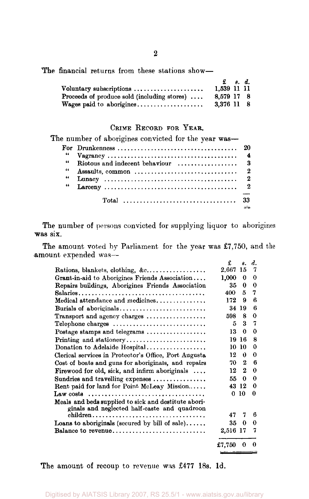'The financial returns from these stations show—

|                                                     | $\mathbf{f}$ $s$ , $d$ . |  |  |
|-----------------------------------------------------|--------------------------|--|--|
| Voluntary subscriptions                             | 1.539 11 11              |  |  |
| Proceeds of produce sold (including stores) $\dots$ | 8.579 17 8               |  |  |
| Wages paid to aborigines                            | 3.376 11 8               |  |  |

#### CRIME RECORD FOR YEAR.

The number of aborigines convicted for the year was—

| $-66$  |  |
|--------|--|
|        |  |
| $\sim$ |  |
| 66     |  |
|        |  |
|        |  |

The number of persons convicted for supplying liquor to aborigines was six.

The amount voted by Parliament for the year was £7,750, and the amount expended was--£ *s. d.* 

|                                                                                                      | ı         | 8.       | α. |
|------------------------------------------------------------------------------------------------------|-----------|----------|----|
| Rations, blankets, clothing, $\&c$                                                                   | $2.667\,$ | 15       | 7  |
| Grant-in-aid to Aborigines Friends Association                                                       | 1,000     | 0        | 0  |
| Repairs buildings, Aborigines Friends Association                                                    | 35        | 0        | 0  |
|                                                                                                      | 400       | 5        | 7  |
| Medical attendance and medicines                                                                     | 172       | 9        | R  |
| Burials of aboriginals                                                                               | 34        | 19       | 6  |
| Transport and agency charges                                                                         | 598       | 8        | 0  |
| Telephone charges $\ldots \ldots \ldots \ldots \ldots \ldots \ldots \ldots$                          | 5         | 3        | 7  |
| Postage stamps and telegrams $\dots\dots\dots\dots\dots\dots$                                        | 13        | 0        | 0  |
|                                                                                                      | 19        | 16       | 8  |
| Donation to Adelaide Hospital                                                                        | 10        | 10       | 0  |
| Clerical services in Protector's Office, Port Augusta                                                | 12        | Ū        | 0  |
| Cost of boats and guns for aboriginals, and repairs                                                  | 70        | 2        | 6  |
| Firewood for old, sick, and infirm aboriginals $\dots$                                               | 12        | $\bf{2}$ | 0  |
| Sundries and travelling expenses                                                                     | 55        | 0        | 0  |
| Rent paid for land for Point McLeay Mission                                                          |           | 43 12    | 0  |
| Law costs $\dots\dots\dots\dots\dots\dots\dots\dots\dots\dots\dots\dots\dots\dots$                   | 0         | -10      | 0  |
| Meals and beds supplied to sick and destitute abori-<br>ginals and neglected half-caste and quadroon |           |          |    |
| children                                                                                             | 47        | 7        | 6  |
| Loans to aboriginals (secured by bill of sale)                                                       | 35        | 0        | O  |
| Balance to revenue                                                                                   | 2,516 17  |          | 7  |
|                                                                                                      | £7,750    | 0        | 0  |
|                                                                                                      |           |          |    |

The amount of recoup to revenue was £477 18s. 1d.